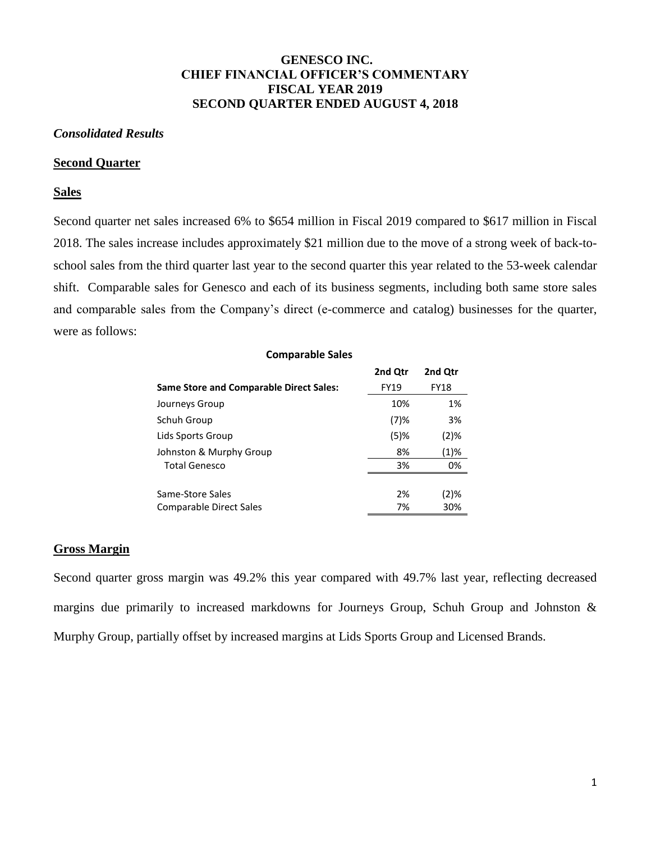# **GENESCO INC. CHIEF FINANCIAL OFFICER'S COMMENTARY FISCAL YEAR 2019 SECOND QUARTER ENDED AUGUST 4, 2018**

## *Consolidated Results*

#### **Second Quarter**

## **Sales**

Second quarter net sales increased 6% to \$654 million in Fiscal 2019 compared to \$617 million in Fiscal 2018. The sales increase includes approximately \$21 million due to the move of a strong week of back-toschool sales from the third quarter last year to the second quarter this year related to the 53-week calendar shift. Comparable sales for Genesco and each of its business segments, including both same store sales and comparable sales from the Company's direct (e-commerce and catalog) businesses for the quarter, were as follows:

| <b>Comparable Sales</b>                        |             |             |  |  |  |
|------------------------------------------------|-------------|-------------|--|--|--|
|                                                | 2nd Qtr     | 2nd Qtr     |  |  |  |
| <b>Same Store and Comparable Direct Sales:</b> | <b>FY19</b> | <b>FY18</b> |  |  |  |
| Journeys Group                                 | 10%         | 1%          |  |  |  |
| Schuh Group                                    | $(7)$ %     | 3%          |  |  |  |
| Lids Sports Group                              | $(5)$ %     | (2)%        |  |  |  |
| Johnston & Murphy Group                        | 8%          | (1)%        |  |  |  |
| <b>Total Genesco</b>                           | 3%          | 0%          |  |  |  |
|                                                |             |             |  |  |  |
| Same-Store Sales                               | 2%          | (2)%        |  |  |  |
| Comparable Direct Sales                        | 7%          | 30%         |  |  |  |

# **Gross Margin**

Second quarter gross margin was 49.2% this year compared with 49.7% last year, reflecting decreased margins due primarily to increased markdowns for Journeys Group, Schuh Group and Johnston & Murphy Group, partially offset by increased margins at Lids Sports Group and Licensed Brands.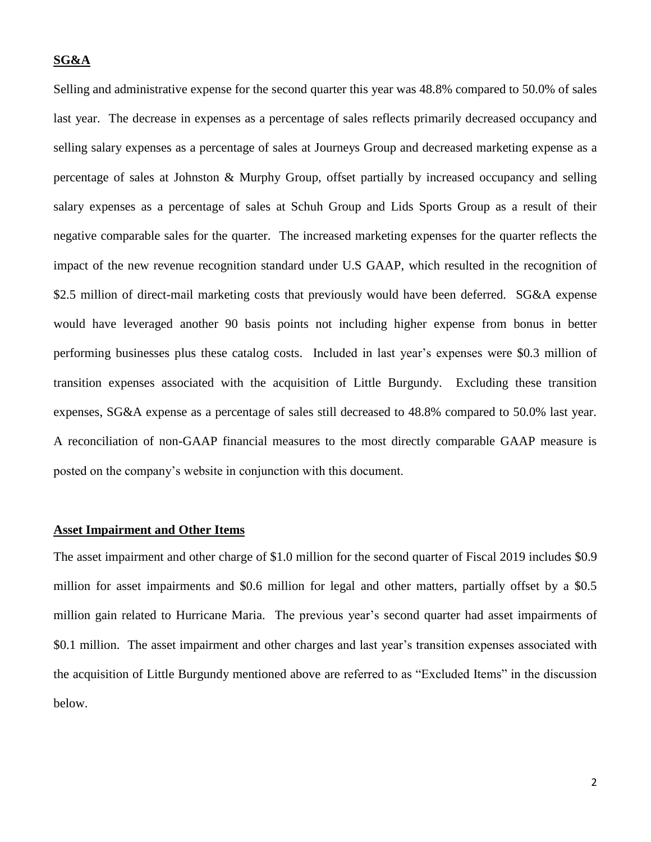# **SG&A**

Selling and administrative expense for the second quarter this year was 48.8% compared to 50.0% of sales last year. The decrease in expenses as a percentage of sales reflects primarily decreased occupancy and selling salary expenses as a percentage of sales at Journeys Group and decreased marketing expense as a percentage of sales at Johnston & Murphy Group, offset partially by increased occupancy and selling salary expenses as a percentage of sales at Schuh Group and Lids Sports Group as a result of their negative comparable sales for the quarter. The increased marketing expenses for the quarter reflects the impact of the new revenue recognition standard under U.S GAAP, which resulted in the recognition of \$2.5 million of direct-mail marketing costs that previously would have been deferred. SG&A expense would have leveraged another 90 basis points not including higher expense from bonus in better performing businesses plus these catalog costs. Included in last year's expenses were \$0.3 million of transition expenses associated with the acquisition of Little Burgundy. Excluding these transition expenses, SG&A expense as a percentage of sales still decreased to 48.8% compared to 50.0% last year. A reconciliation of non-GAAP financial measures to the most directly comparable GAAP measure is posted on the company's website in conjunction with this document.

#### **Asset Impairment and Other Items**

The asset impairment and other charge of \$1.0 million for the second quarter of Fiscal 2019 includes \$0.9 million for asset impairments and \$0.6 million for legal and other matters, partially offset by a \$0.5 million gain related to Hurricane Maria. The previous year's second quarter had asset impairments of \$0.1 million. The asset impairment and other charges and last year's transition expenses associated with the acquisition of Little Burgundy mentioned above are referred to as "Excluded Items" in the discussion below.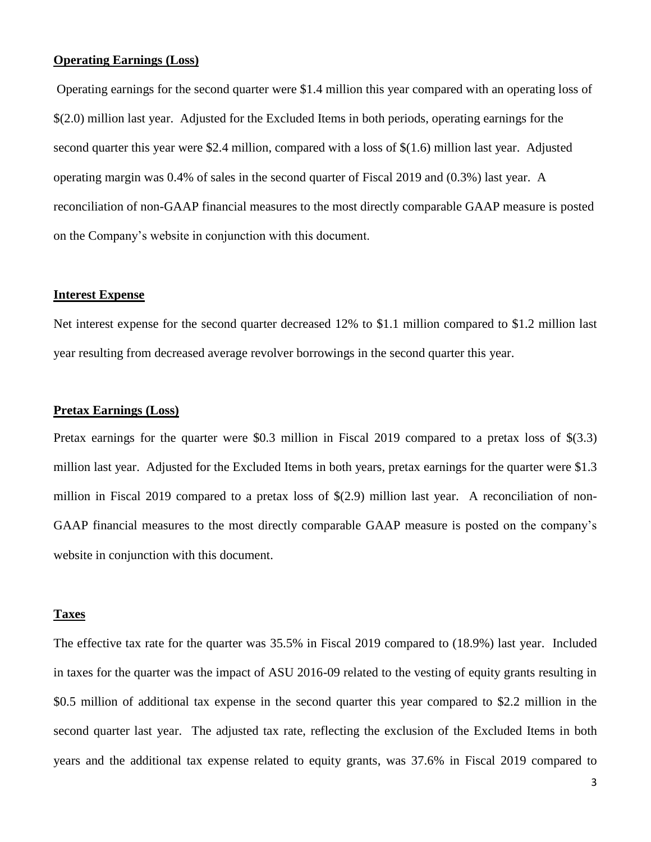# **Operating Earnings (Loss)**

Operating earnings for the second quarter were \$1.4 million this year compared with an operating loss of \$(2.0) million last year. Adjusted for the Excluded Items in both periods, operating earnings for the second quarter this year were \$2.4 million, compared with a loss of \$(1.6) million last year. Adjusted operating margin was 0.4% of sales in the second quarter of Fiscal 2019 and (0.3%) last year. A reconciliation of non-GAAP financial measures to the most directly comparable GAAP measure is posted on the Company's website in conjunction with this document.

# **Interest Expense**

Net interest expense for the second quarter decreased 12% to \$1.1 million compared to \$1.2 million last year resulting from decreased average revolver borrowings in the second quarter this year.

# **Pretax Earnings (Loss)**

Pretax earnings for the quarter were \$0.3 million in Fiscal 2019 compared to a pretax loss of \$(3.3) million last year. Adjusted for the Excluded Items in both years, pretax earnings for the quarter were \$1.3 million in Fiscal 2019 compared to a pretax loss of \$(2.9) million last year. A reconciliation of non-GAAP financial measures to the most directly comparable GAAP measure is posted on the company's website in conjunction with this document.

# **Taxes**

The effective tax rate for the quarter was 35.5% in Fiscal 2019 compared to (18.9%) last year. Included in taxes for the quarter was the impact of ASU 2016-09 related to the vesting of equity grants resulting in \$0.5 million of additional tax expense in the second quarter this year compared to \$2.2 million in the second quarter last year. The adjusted tax rate, reflecting the exclusion of the Excluded Items in both years and the additional tax expense related to equity grants, was 37.6% in Fiscal 2019 compared to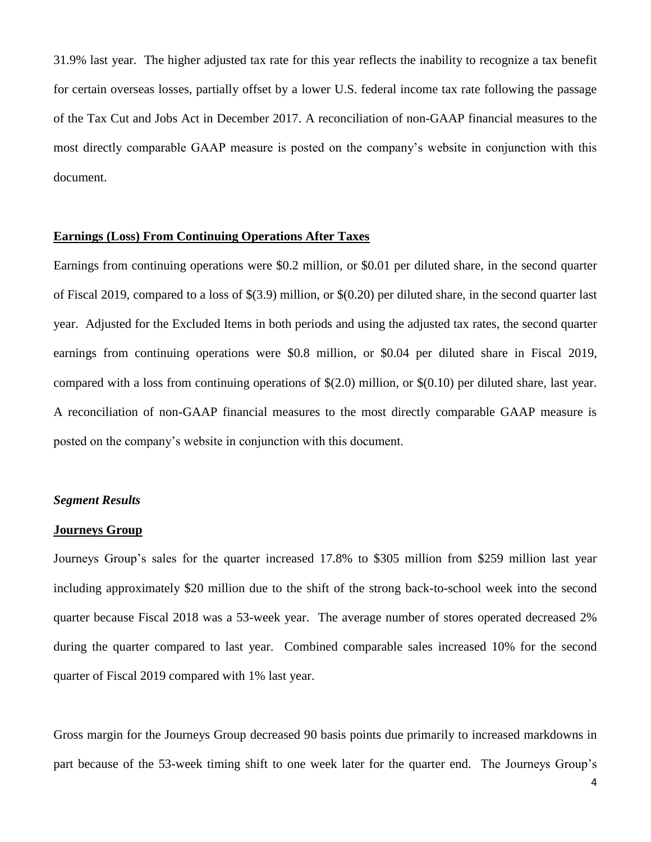31.9% last year. The higher adjusted tax rate for this year reflects the inability to recognize a tax benefit for certain overseas losses, partially offset by a lower U.S. federal income tax rate following the passage of the Tax Cut and Jobs Act in December 2017. A reconciliation of non-GAAP financial measures to the most directly comparable GAAP measure is posted on the company's website in conjunction with this document.

# **Earnings (Loss) From Continuing Operations After Taxes**

Earnings from continuing operations were \$0.2 million, or \$0.01 per diluted share, in the second quarter of Fiscal 2019, compared to a loss of \$(3.9) million, or \$(0.20) per diluted share, in the second quarter last year. Adjusted for the Excluded Items in both periods and using the adjusted tax rates, the second quarter earnings from continuing operations were \$0.8 million, or \$0.04 per diluted share in Fiscal 2019, compared with a loss from continuing operations of \$(2.0) million, or \$(0.10) per diluted share, last year. A reconciliation of non-GAAP financial measures to the most directly comparable GAAP measure is posted on the company's website in conjunction with this document.

## *Segment Results*

#### **Journeys Group**

Journeys Group's sales for the quarter increased 17.8% to \$305 million from \$259 million last year including approximately \$20 million due to the shift of the strong back-to-school week into the second quarter because Fiscal 2018 was a 53-week year. The average number of stores operated decreased 2% during the quarter compared to last year. Combined comparable sales increased 10% for the second quarter of Fiscal 2019 compared with 1% last year.

Gross margin for the Journeys Group decreased 90 basis points due primarily to increased markdowns in part because of the 53-week timing shift to one week later for the quarter end. The Journeys Group's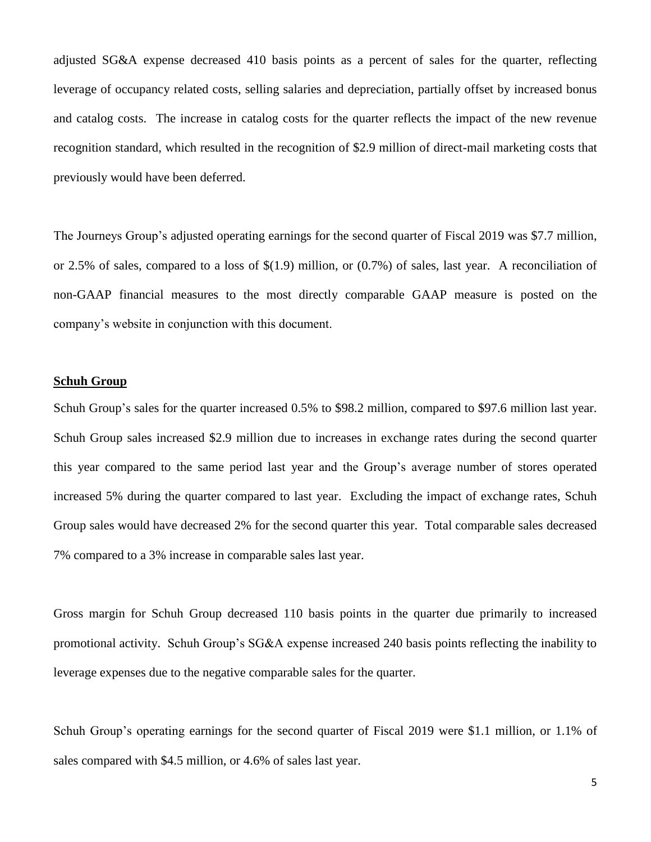adjusted SG&A expense decreased 410 basis points as a percent of sales for the quarter, reflecting leverage of occupancy related costs, selling salaries and depreciation, partially offset by increased bonus and catalog costs. The increase in catalog costs for the quarter reflects the impact of the new revenue recognition standard, which resulted in the recognition of \$2.9 million of direct-mail marketing costs that previously would have been deferred.

The Journeys Group's adjusted operating earnings for the second quarter of Fiscal 2019 was \$7.7 million, or 2.5% of sales, compared to a loss of \$(1.9) million, or (0.7%) of sales, last year. A reconciliation of non-GAAP financial measures to the most directly comparable GAAP measure is posted on the company's website in conjunction with this document.

# **Schuh Group**

Schuh Group's sales for the quarter increased 0.5% to \$98.2 million, compared to \$97.6 million last year. Schuh Group sales increased \$2.9 million due to increases in exchange rates during the second quarter this year compared to the same period last year and the Group's average number of stores operated increased 5% during the quarter compared to last year. Excluding the impact of exchange rates, Schuh Group sales would have decreased 2% for the second quarter this year. Total comparable sales decreased 7% compared to a 3% increase in comparable sales last year.

Gross margin for Schuh Group decreased 110 basis points in the quarter due primarily to increased promotional activity. Schuh Group's SG&A expense increased 240 basis points reflecting the inability to leverage expenses due to the negative comparable sales for the quarter.

Schuh Group's operating earnings for the second quarter of Fiscal 2019 were \$1.1 million, or 1.1% of sales compared with \$4.5 million, or 4.6% of sales last year.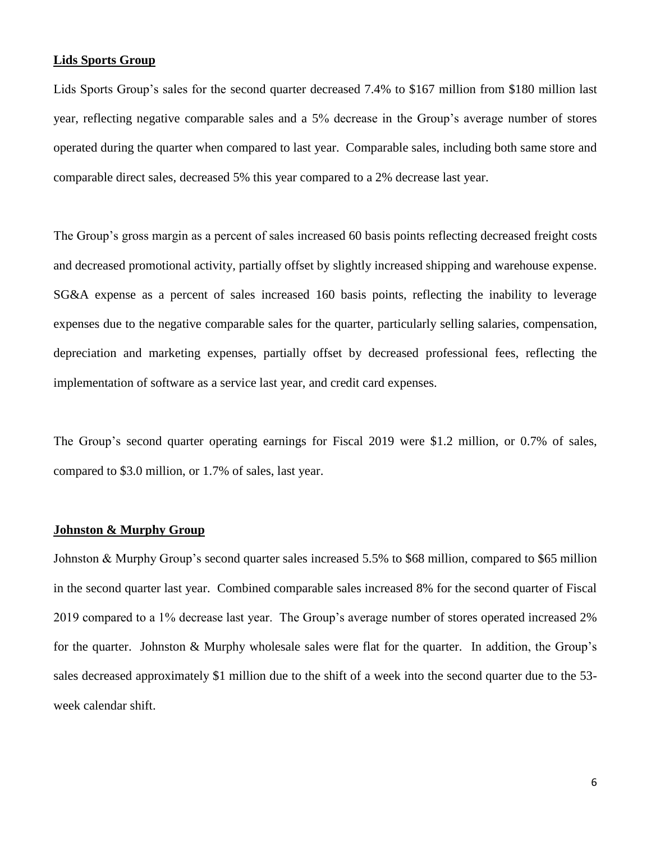# **Lids Sports Group**

Lids Sports Group's sales for the second quarter decreased 7.4% to \$167 million from \$180 million last year, reflecting negative comparable sales and a 5% decrease in the Group's average number of stores operated during the quarter when compared to last year. Comparable sales, including both same store and comparable direct sales, decreased 5% this year compared to a 2% decrease last year.

The Group's gross margin as a percent of sales increased 60 basis points reflecting decreased freight costs and decreased promotional activity, partially offset by slightly increased shipping and warehouse expense. SG&A expense as a percent of sales increased 160 basis points, reflecting the inability to leverage expenses due to the negative comparable sales for the quarter, particularly selling salaries, compensation, depreciation and marketing expenses, partially offset by decreased professional fees, reflecting the implementation of software as a service last year, and credit card expenses.

The Group's second quarter operating earnings for Fiscal 2019 were \$1.2 million, or 0.7% of sales, compared to \$3.0 million, or 1.7% of sales, last year.

#### **Johnston & Murphy Group**

Johnston & Murphy Group's second quarter sales increased 5.5% to \$68 million, compared to \$65 million in the second quarter last year. Combined comparable sales increased 8% for the second quarter of Fiscal 2019 compared to a 1% decrease last year. The Group's average number of stores operated increased 2% for the quarter. Johnston & Murphy wholesale sales were flat for the quarter. In addition, the Group's sales decreased approximately \$1 million due to the shift of a week into the second quarter due to the 53 week calendar shift.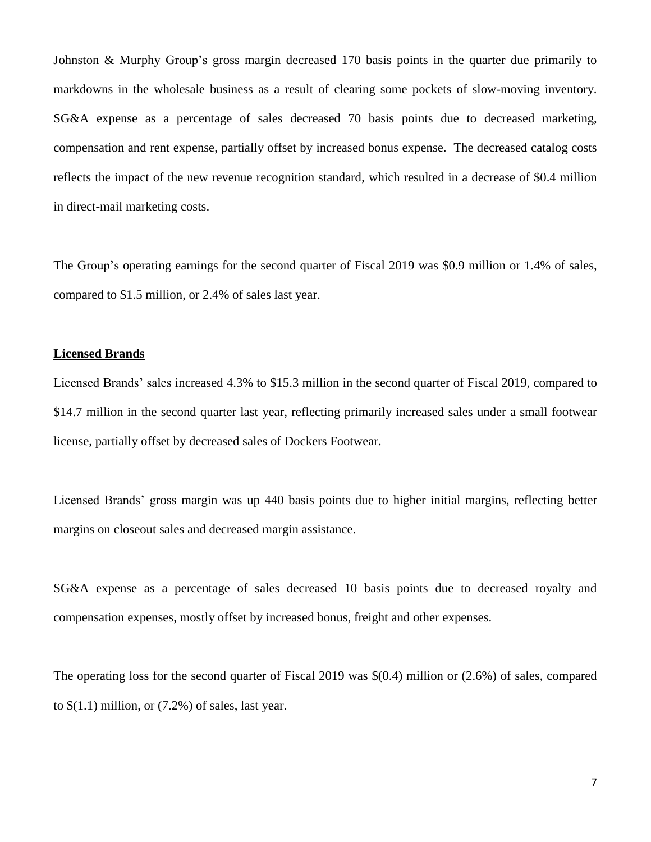Johnston & Murphy Group's gross margin decreased 170 basis points in the quarter due primarily to markdowns in the wholesale business as a result of clearing some pockets of slow-moving inventory. SG&A expense as a percentage of sales decreased 70 basis points due to decreased marketing, compensation and rent expense, partially offset by increased bonus expense. The decreased catalog costs reflects the impact of the new revenue recognition standard, which resulted in a decrease of \$0.4 million in direct-mail marketing costs.

The Group's operating earnings for the second quarter of Fiscal 2019 was \$0.9 million or 1.4% of sales, compared to \$1.5 million, or 2.4% of sales last year.

# **Licensed Brands**

Licensed Brands' sales increased 4.3% to \$15.3 million in the second quarter of Fiscal 2019, compared to \$14.7 million in the second quarter last year, reflecting primarily increased sales under a small footwear license, partially offset by decreased sales of Dockers Footwear.

Licensed Brands' gross margin was up 440 basis points due to higher initial margins, reflecting better margins on closeout sales and decreased margin assistance.

SG&A expense as a percentage of sales decreased 10 basis points due to decreased royalty and compensation expenses, mostly offset by increased bonus, freight and other expenses.

The operating loss for the second quarter of Fiscal 2019 was \$(0.4) million or (2.6%) of sales, compared to  $$(1.1)$  million, or  $(7.2%)$  of sales, last year.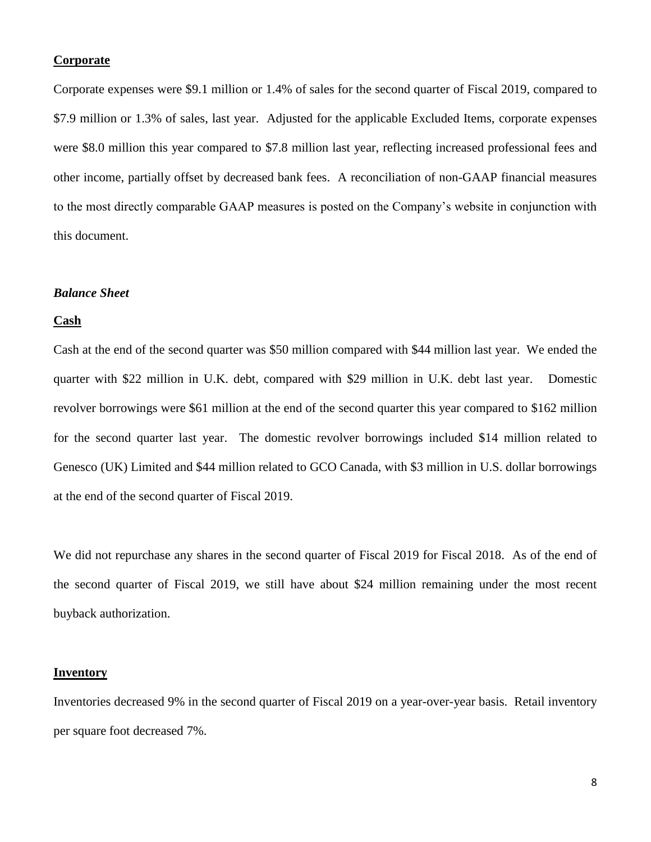# **Corporate**

Corporate expenses were \$9.1 million or 1.4% of sales for the second quarter of Fiscal 2019, compared to \$7.9 million or 1.3% of sales, last year. Adjusted for the applicable Excluded Items, corporate expenses were \$8.0 million this year compared to \$7.8 million last year, reflecting increased professional fees and other income, partially offset by decreased bank fees. A reconciliation of non-GAAP financial measures to the most directly comparable GAAP measures is posted on the Company's website in conjunction with this document.

# *Balance Sheet*

#### **Cash**

Cash at the end of the second quarter was \$50 million compared with \$44 million last year. We ended the quarter with \$22 million in U.K. debt, compared with \$29 million in U.K. debt last year. Domestic revolver borrowings were \$61 million at the end of the second quarter this year compared to \$162 million for the second quarter last year. The domestic revolver borrowings included \$14 million related to Genesco (UK) Limited and \$44 million related to GCO Canada, with \$3 million in U.S. dollar borrowings at the end of the second quarter of Fiscal 2019.

We did not repurchase any shares in the second quarter of Fiscal 2019 for Fiscal 2018. As of the end of the second quarter of Fiscal 2019, we still have about \$24 million remaining under the most recent buyback authorization.

# **Inventory**

Inventories decreased 9% in the second quarter of Fiscal 2019 on a year-over-year basis. Retail inventory per square foot decreased 7%.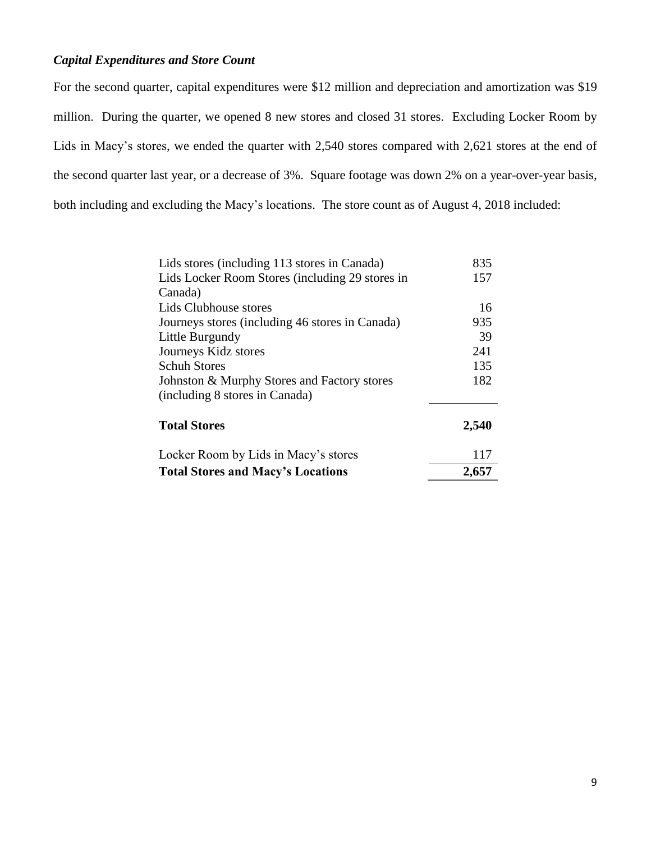# *Capital Expenditures and Store Count*

For the second quarter, capital expenditures were \$12 million and depreciation and amortization was \$19 million. During the quarter, we opened 8 new stores and closed 31 stores. Excluding Locker Room by Lids in Macy's stores, we ended the quarter with 2,540 stores compared with 2,621 stores at the end of the second quarter last year, or a decrease of 3%. Square footage was down 2% on a year-over-year basis, both including and excluding the Macy's locations. The store count as of August 4, 2018 included:

| Lids stores (including 113 stores in Canada)    | 835   |
|-------------------------------------------------|-------|
| Lids Locker Room Stores (including 29 stores in | 157   |
| Canada)                                         |       |
| Lids Clubhouse stores                           | 16    |
| Journeys stores (including 46 stores in Canada) | 935   |
| Little Burgundy                                 | 39    |
| Journeys Kidz stores                            | 241   |
| <b>Schuh Stores</b>                             | 135   |
| Johnston & Murphy Stores and Factory stores     | 182   |
| (including 8 stores in Canada)                  |       |
| <b>Total Stores</b>                             | 2,540 |
| Locker Room by Lids in Macy's stores            | 117   |
| <b>Total Stores and Macy's Locations</b>        | 2,657 |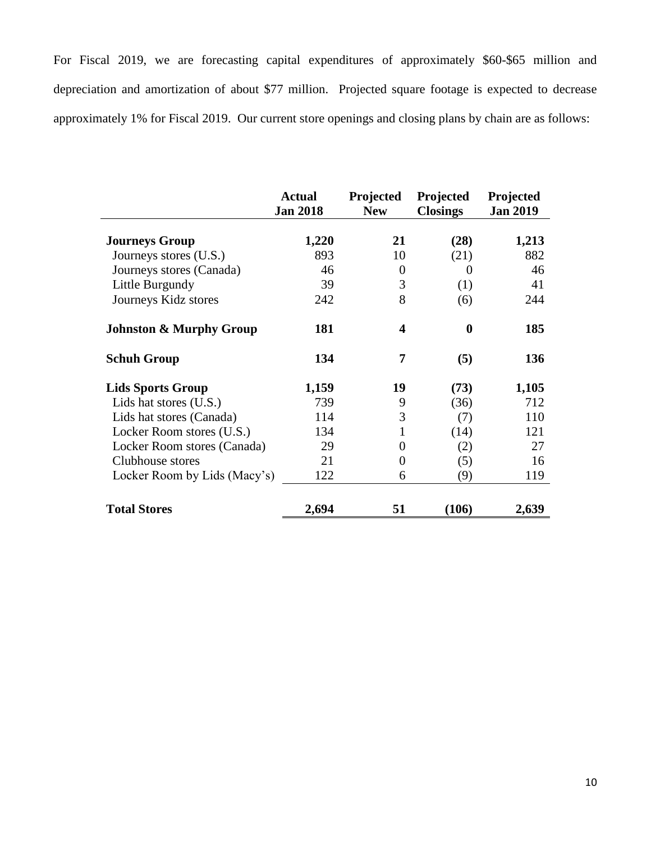For Fiscal 2019, we are forecasting capital expenditures of approximately \$60-\$65 million and depreciation and amortization of about \$77 million. Projected square footage is expected to decrease approximately 1% for Fiscal 2019. Our current store openings and closing plans by chain are as follows:

|                                    | <b>Actual</b><br><b>Jan 2018</b> | Projected<br><b>New</b> | Projected<br><b>Closings</b> | Projected<br><b>Jan 2019</b> |
|------------------------------------|----------------------------------|-------------------------|------------------------------|------------------------------|
|                                    |                                  |                         |                              |                              |
| <b>Journeys Group</b>              | 1,220                            | 21                      | (28)                         | 1,213                        |
| Journeys stores (U.S.)             | 893                              | 10                      | (21)                         | 882                          |
| Journeys stores (Canada)           | 46                               | $\overline{0}$          | 0                            | 46                           |
| Little Burgundy                    | 39                               | 3                       | (1)                          | 41                           |
| Journeys Kidz stores               | 242                              | 8                       | (6)                          | 244                          |
| <b>Johnston &amp; Murphy Group</b> | 181                              | 4                       | $\bf{0}$                     | 185                          |
| <b>Schuh Group</b>                 | 134                              | 7                       | (5)                          | 136                          |
| <b>Lids Sports Group</b>           | 1,159                            | 19                      | (73)                         | 1,105                        |
| Lids hat stores (U.S.)             | 739                              | 9                       | (36)                         | 712                          |
| Lids hat stores (Canada)           | 114                              | 3                       | (7)                          | 110                          |
| Locker Room stores (U.S.)          | 134                              | 1                       | (14)                         | 121                          |
| Locker Room stores (Canada)        | 29                               | $\Omega$                | (2)                          | 27                           |
| Clubhouse stores                   | 21                               | $\overline{0}$          | (5)                          | 16                           |
| Locker Room by Lids (Macy's)       | 122                              | 6                       | (9)                          | 119                          |
| <b>Total Stores</b>                | 2,694                            | 51                      | (106)                        | 2,639                        |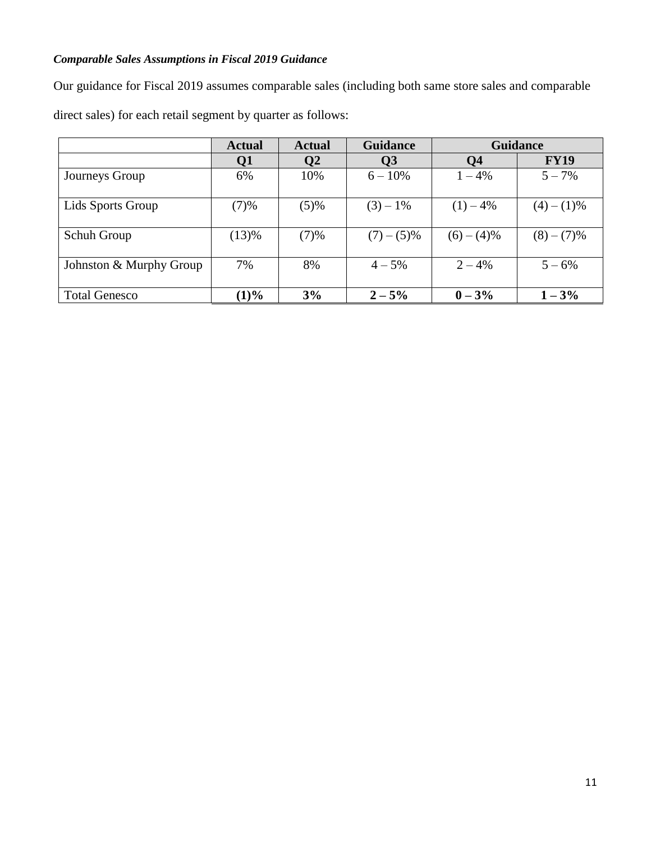# *Comparable Sales Assumptions in Fiscal 2019 Guidance*

Our guidance for Fiscal 2019 assumes comparable sales (including both same store sales and comparable

direct sales) for each retail segment by quarter as follows:

|                         | <b>Actual</b> | <b>Actual</b>  | <b>Guidance</b> | <b>Guidance</b> |             |
|-------------------------|---------------|----------------|-----------------|-----------------|-------------|
|                         | Q1            | Q <sub>2</sub> | Q <sub>3</sub>  | <b>Q4</b>       | <b>FY19</b> |
| Journeys Group          | 6%            | 10%            | $6 - 10\%$      | $1 - 4\%$       | $5 - 7\%$   |
| Lids Sports Group       | (7)%          | (5)%           | $(3) - 1\%$     | $(1) - 4\%$     | $(4)-(1)\%$ |
| Schuh Group             | (13)%         | (7)%           | $(7)-(5)\%$     | $(6)-(4)\%$     | $(8)-(7)\%$ |
| Johnston & Murphy Group | 7%            | 8%             | $4 - 5\%$       | $2 - 4%$        | $5 - 6\%$   |
| <b>Total Genesco</b>    | (1)%          | 3%             | $2 - 5\%$       | $0 - 3\%$       | $-3%$       |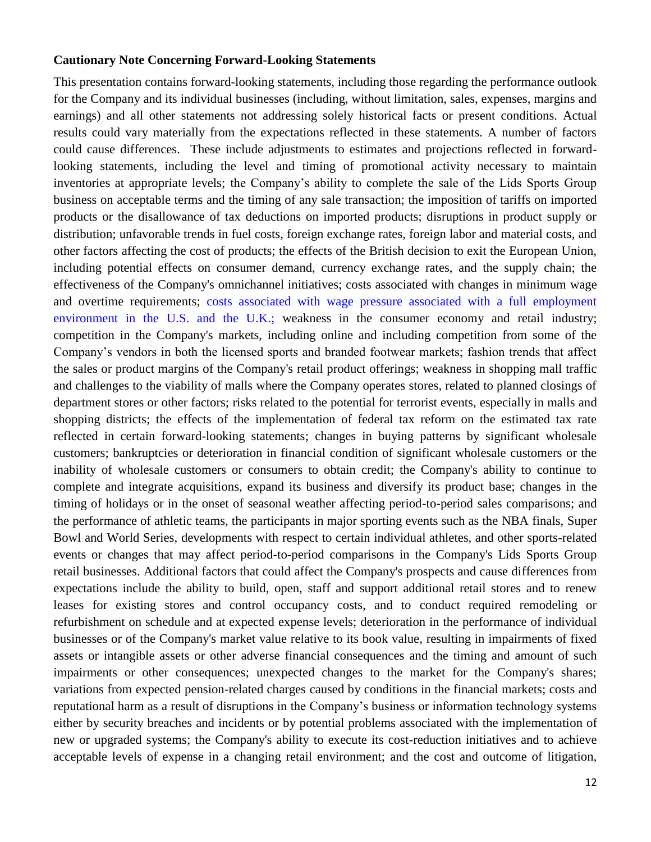# **Cautionary Note Concerning Forward-Looking Statements**

This presentation contains forward-looking statements, including those regarding the performance outlook for the Company and its individual businesses (including, without limitation, sales, expenses, margins and earnings) and all other statements not addressing solely historical facts or present conditions. Actual results could vary materially from the expectations reflected in these statements. A number of factors could cause differences. These include adjustments to estimates and projections reflected in forwardlooking statements, including the level and timing of promotional activity necessary to maintain inventories at appropriate levels; the Company's ability to complete the sale of the Lids Sports Group business on acceptable terms and the timing of any sale transaction; the imposition of tariffs on imported products or the disallowance of tax deductions on imported products; disruptions in product supply or distribution; unfavorable trends in fuel costs, foreign exchange rates, foreign labor and material costs, and other factors affecting the cost of products; the effects of the British decision to exit the European Union, including potential effects on consumer demand, currency exchange rates, and the supply chain; the effectiveness of the Company's omnichannel initiatives; costs associated with changes in minimum wage and overtime requirements; costs associated with wage pressure associated with a full employment environment in the U.S. and the U.K.; weakness in the consumer economy and retail industry; competition in the Company's markets, including online and including competition from some of the Company's vendors in both the licensed sports and branded footwear markets; fashion trends that affect the sales or product margins of the Company's retail product offerings; weakness in shopping mall traffic and challenges to the viability of malls where the Company operates stores, related to planned closings of department stores or other factors; risks related to the potential for terrorist events, especially in malls and shopping districts; the effects of the implementation of federal tax reform on the estimated tax rate reflected in certain forward-looking statements; changes in buying patterns by significant wholesale customers; bankruptcies or deterioration in financial condition of significant wholesale customers or the inability of wholesale customers or consumers to obtain credit; the Company's ability to continue to complete and integrate acquisitions, expand its business and diversify its product base; changes in the timing of holidays or in the onset of seasonal weather affecting period-to-period sales comparisons; and the performance of athletic teams, the participants in major sporting events such as the NBA finals, Super Bowl and World Series, developments with respect to certain individual athletes, and other sports-related events or changes that may affect period-to-period comparisons in the Company's Lids Sports Group retail businesses. Additional factors that could affect the Company's prospects and cause differences from expectations include the ability to build, open, staff and support additional retail stores and to renew leases for existing stores and control occupancy costs, and to conduct required remodeling or refurbishment on schedule and at expected expense levels; deterioration in the performance of individual businesses or of the Company's market value relative to its book value, resulting in impairments of fixed assets or intangible assets or other adverse financial consequences and the timing and amount of such impairments or other consequences; unexpected changes to the market for the Company's shares; variations from expected pension-related charges caused by conditions in the financial markets; costs and reputational harm as a result of disruptions in the Company's business or information technology systems either by security breaches and incidents or by potential problems associated with the implementation of new or upgraded systems; the Company's ability to execute its cost-reduction initiatives and to achieve acceptable levels of expense in a changing retail environment; and the cost and outcome of litigation,